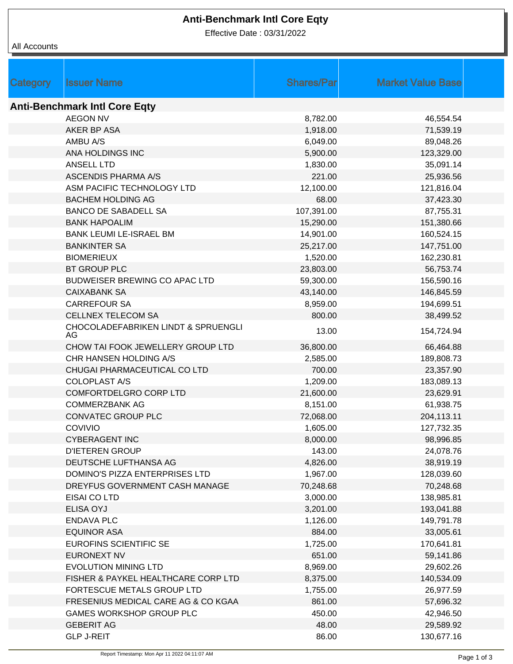## **Anti-Benchmark Intl Core Eqty**

Effective Date : 03/31/2022

| Category                             | <b>Issuer Name</b>                         | <b>Shares/Par</b> | <b>Market Value Base</b> |  |  |  |  |
|--------------------------------------|--------------------------------------------|-------------------|--------------------------|--|--|--|--|
|                                      |                                            |                   |                          |  |  |  |  |
| <b>Anti-Benchmark Intl Core Eqty</b> |                                            |                   |                          |  |  |  |  |
|                                      | <b>AEGON NV</b>                            | 8,782.00          | 46,554.54                |  |  |  |  |
|                                      | AKER BP ASA                                | 1,918.00          | 71,539.19                |  |  |  |  |
|                                      | AMBU A/S                                   | 6,049.00          | 89,048.26                |  |  |  |  |
|                                      | ANA HOLDINGS INC                           | 5,900.00          | 123,329.00               |  |  |  |  |
|                                      | <b>ANSELL LTD</b>                          | 1,830.00          | 35,091.14                |  |  |  |  |
|                                      | <b>ASCENDIS PHARMA A/S</b>                 | 221.00            | 25,936.56                |  |  |  |  |
|                                      | ASM PACIFIC TECHNOLOGY LTD                 | 12,100.00         | 121,816.04               |  |  |  |  |
|                                      | <b>BACHEM HOLDING AG</b>                   | 68.00             | 37,423.30                |  |  |  |  |
|                                      | <b>BANCO DE SABADELL SA</b>                | 107,391.00        | 87,755.31                |  |  |  |  |
|                                      | <b>BANK HAPOALIM</b>                       | 15,290.00         | 151,380.66               |  |  |  |  |
|                                      | BANK LEUMI LE-ISRAEL BM                    | 14,901.00         | 160,524.15               |  |  |  |  |
|                                      | <b>BANKINTER SA</b>                        | 25,217.00         | 147,751.00               |  |  |  |  |
|                                      | <b>BIOMERIEUX</b>                          | 1,520.00          | 162,230.81               |  |  |  |  |
|                                      | <b>BT GROUP PLC</b>                        | 23,803.00         | 56,753.74                |  |  |  |  |
|                                      | <b>BUDWEISER BREWING CO APAC LTD</b>       | 59,300.00         | 156,590.16               |  |  |  |  |
|                                      | <b>CAIXABANK SA</b>                        | 43,140.00         | 146,845.59               |  |  |  |  |
|                                      | <b>CARREFOUR SA</b>                        | 8,959.00          | 194,699.51               |  |  |  |  |
|                                      | <b>CELLNEX TELECOM SA</b>                  | 800.00            | 38,499.52                |  |  |  |  |
|                                      | CHOCOLADEFABRIKEN LINDT & SPRUENGLI<br>AG. | 13.00             | 154,724.94               |  |  |  |  |
|                                      | CHOW TAI FOOK JEWELLERY GROUP LTD          | 36,800.00         | 66,464.88                |  |  |  |  |
|                                      | CHR HANSEN HOLDING A/S                     | 2,585.00          | 189,808.73               |  |  |  |  |
|                                      | CHUGAI PHARMACEUTICAL CO LTD               | 700.00            | 23,357.90                |  |  |  |  |
|                                      | <b>COLOPLAST A/S</b>                       | 1,209.00          | 183,089.13               |  |  |  |  |
|                                      | COMFORTDELGRO CORP LTD                     | 21,600.00         | 23,629.91                |  |  |  |  |
|                                      | <b>COMMERZBANK AG</b>                      | 8,151.00          | 61,938.75                |  |  |  |  |
|                                      | <b>CONVATEC GROUP PLC</b>                  | 72,068.00         | 204,113.11               |  |  |  |  |
|                                      | COVIVIO                                    | 1,605.00          | 127,732.35               |  |  |  |  |
|                                      | <b>CYBERAGENT INC</b>                      | 8,000.00          | 98,996.85                |  |  |  |  |
|                                      | <b>D'IETEREN GROUP</b>                     | 143.00            | 24,078.76                |  |  |  |  |
|                                      | DEUTSCHE LUFTHANSA AG                      | 4,826.00          | 38,919.19                |  |  |  |  |
|                                      | DOMINO'S PIZZA ENTERPRISES LTD             | 1,967.00          | 128,039.60               |  |  |  |  |
|                                      | DREYFUS GOVERNMENT CASH MANAGE             | 70,248.68         | 70,248.68                |  |  |  |  |
|                                      | EISAI CO LTD                               | 3,000.00          | 138,985.81               |  |  |  |  |
|                                      | <b>ELISA OYJ</b>                           | 3,201.00          | 193,041.88               |  |  |  |  |
|                                      | <b>ENDAVA PLC</b>                          | 1,126.00          | 149,791.78               |  |  |  |  |
|                                      | <b>EQUINOR ASA</b>                         | 884.00            | 33,005.61                |  |  |  |  |
|                                      | <b>EUROFINS SCIENTIFIC SE</b>              | 1,725.00          | 170,641.81               |  |  |  |  |
|                                      | <b>EURONEXT NV</b>                         | 651.00            | 59,141.86                |  |  |  |  |
|                                      | <b>EVOLUTION MINING LTD</b>                | 8,969.00          | 29,602.26                |  |  |  |  |
|                                      | FISHER & PAYKEL HEALTHCARE CORP LTD        | 8,375.00          | 140,534.09               |  |  |  |  |
|                                      | FORTESCUE METALS GROUP LTD                 | 1,755.00          | 26,977.59                |  |  |  |  |
|                                      | FRESENIUS MEDICAL CARE AG & CO KGAA        | 861.00            | 57,696.32                |  |  |  |  |
|                                      | <b>GAMES WORKSHOP GROUP PLC</b>            | 450.00            | 42,946.50                |  |  |  |  |
|                                      | <b>GEBERIT AG</b>                          | 48.00             | 29,589.92                |  |  |  |  |
|                                      | <b>GLP J-REIT</b>                          | 86.00             | 130,677.16               |  |  |  |  |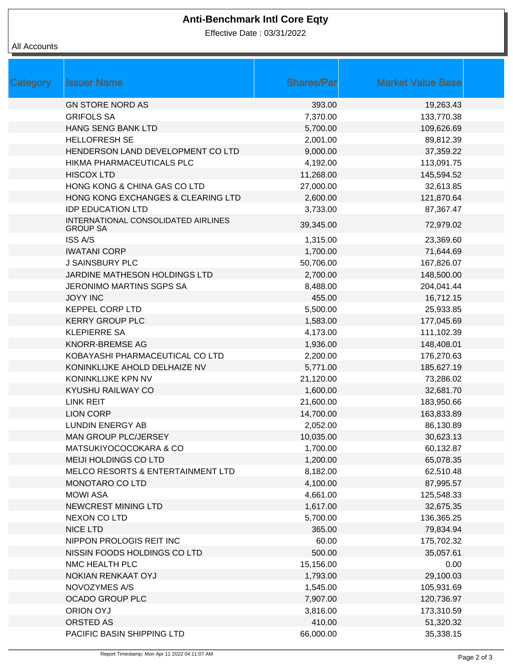# **Anti-Benchmark Intl Core Eqty**

Effective Date : 03/31/2022

#### All Accounts

| Category | <b>Issuer Name</b>                                     | <b>Shares/Parl</b> | <b>Market Value Base</b> |  |
|----------|--------------------------------------------------------|--------------------|--------------------------|--|
|          | <b>GN STORE NORD AS</b>                                | 393.00             | 19,263.43                |  |
|          | <b>GRIFOLS SA</b>                                      | 7,370.00           | 133,770.38               |  |
|          | HANG SENG BANK LTD                                     | 5,700.00           | 109,626.69               |  |
|          | <b>HELLOFRESH SE</b>                                   | 2,001.00           | 89,812.39                |  |
|          | HENDERSON LAND DEVELOPMENT CO LTD                      | 9,000.00           | 37,359.22                |  |
|          | HIKMA PHARMACEUTICALS PLC                              | 4,192.00           | 113,091.75               |  |
|          | <b>HISCOX LTD</b>                                      | 11,268.00          | 145,594.52               |  |
|          | HONG KONG & CHINA GAS CO LTD                           | 27,000.00          | 32,613.85                |  |
|          | HONG KONG EXCHANGES & CLEARING LTD                     | 2,600.00           | 121,870.64               |  |
|          | <b>IDP EDUCATION LTD</b>                               | 3,733.00           | 87,367.47                |  |
|          | INTERNATIONAL CONSOLIDATED AIRLINES<br><b>GROUP SA</b> | 39,345.00          | 72,979.02                |  |
|          | <b>ISS A/S</b>                                         | 1,315.00           | 23,369.60                |  |
|          | <b>IWATANI CORP</b>                                    | 1,700.00           | 71,644.69                |  |
|          | <b>J SAINSBURY PLC</b>                                 | 50,706.00          | 167,826.07               |  |
|          | JARDINE MATHESON HOLDINGS LTD                          | 2,700.00           | 148,500.00               |  |
|          | JERONIMO MARTINS SGPS SA                               | 8,488.00           | 204,041.44               |  |
|          | <b>JOYY INC</b>                                        | 455.00             | 16,712.15                |  |
|          | <b>KEPPEL CORP LTD</b>                                 | 5,500.00           | 25,933.85                |  |
|          | <b>KERRY GROUP PLC</b>                                 | 1,583.00           | 177,045.69               |  |
|          | <b>KLEPIERRE SA</b>                                    | 4,173.00           | 111,102.39               |  |
|          | KNORR-BREMSE AG                                        | 1,936.00           | 148,408.01               |  |
|          | KOBAYASHI PHARMACEUTICAL CO LTD                        | 2,200.00           | 176,270.63               |  |
|          | KONINKLIJKE AHOLD DELHAIZE NV                          | 5,771.00           | 185,627.19               |  |
|          | KONINKLIJKE KPN NV                                     | 21,120.00          | 73,286.02                |  |
|          | KYUSHU RAILWAY CO                                      | 1,600.00           | 32,681.70                |  |
|          | <b>LINK REIT</b>                                       | 21,600.00          | 183,950.66               |  |
|          | <b>LION CORP</b>                                       | 14,700.00          | 163,833.89               |  |
|          | <b>LUNDIN ENERGY AB</b>                                | 2,052.00           | 86,130.89                |  |
|          | MAN GROUP PLC/JERSEY                                   | 10,035.00          | 30,623.13                |  |
|          | MATSUKIYOCOCOKARA & CO                                 | 1,700.00           | 60,132.87                |  |
|          | MEIJI HOLDINGS CO LTD                                  | 1,200.00           | 65,078.35                |  |
|          | MELCO RESORTS & ENTERTAINMENT LTD                      | 8,182.00           | 62,510.48                |  |
|          | MONOTARO CO LTD                                        | 4,100.00           | 87,995.57                |  |
|          | <b>MOWI ASA</b>                                        | 4,661.00           | 125,548.33               |  |
|          | <b>NEWCREST MINING LTD</b>                             | 1,617.00           | 32,675.35                |  |
|          | <b>NEXON CO LTD</b>                                    | 5,700.00           | 136,365.25               |  |
|          | <b>NICE LTD</b>                                        | 365.00             | 79,834.94                |  |
|          | NIPPON PROLOGIS REIT INC                               | 60.00              | 175,702.32               |  |
|          | NISSIN FOODS HOLDINGS CO LTD                           | 500.00             | 35,057.61                |  |
|          | NMC HEALTH PLC                                         | 15,156.00          | 0.00                     |  |
|          | NOKIAN RENKAAT OYJ                                     | 1,793.00           | 29,100.03                |  |
|          | NOVOZYMES A/S                                          | 1,545.00           | 105,931.69               |  |
|          | <b>OCADO GROUP PLC</b>                                 | 7,907.00           | 120,736.97               |  |
|          | ORION OYJ                                              | 3,816.00           | 173,310.59               |  |
|          | ORSTED AS                                              | 410.00             | 51,320.32                |  |
|          | PACIFIC BASIN SHIPPING LTD                             | 66,000.00          | 35,338.15                |  |
|          |                                                        |                    |                          |  |